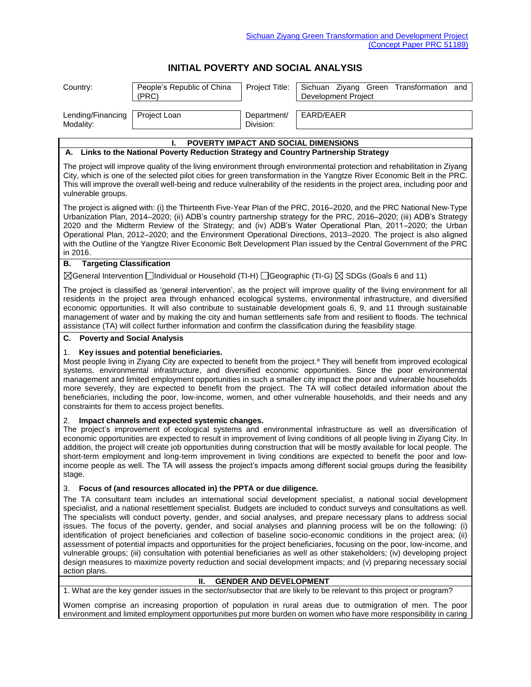## **INITIAL POVERTY AND SOCIAL ANALYSIS**

| Country:                              | People's Republic of China<br>(PRC)                                                  | Project Title:           | Sichuan Ziyang Green Transformation and<br>Development Project                                                                                                                                                                                                                                                                                                                                                                                                                                                                                                                                               |
|---------------------------------------|--------------------------------------------------------------------------------------|--------------------------|--------------------------------------------------------------------------------------------------------------------------------------------------------------------------------------------------------------------------------------------------------------------------------------------------------------------------------------------------------------------------------------------------------------------------------------------------------------------------------------------------------------------------------------------------------------------------------------------------------------|
| Lending/Financing<br>Modality:        | Project Loan                                                                         | Department/<br>Division: | EARD/EAER                                                                                                                                                                                                                                                                                                                                                                                                                                                                                                                                                                                                    |
|                                       | ı.                                                                                   |                          | <b>POVERTY IMPACT AND SOCIAL DIMENSIONS</b>                                                                                                                                                                                                                                                                                                                                                                                                                                                                                                                                                                  |
|                                       | A. Links to the National Poverty Reduction Strategy and Country Partnership Strategy |                          |                                                                                                                                                                                                                                                                                                                                                                                                                                                                                                                                                                                                              |
| vulnerable groups.                    |                                                                                      |                          | The project will improve quality of the living environment through environmental protection and rehabilitation in Ziyang<br>City, which is one of the selected pilot cities for green transformation in the Yangtze River Economic Belt in the PRC.<br>This will improve the overall well-being and reduce vulnerability of the residents in the project area, including poor and                                                                                                                                                                                                                            |
| in 2016.                              |                                                                                      |                          | The project is aligned with: (i) the Thirteenth Five-Year Plan of the PRC, 2016–2020, and the PRC National New-Type<br>Urbanization Plan, 2014–2020; (ii) ADB's country partnership strategy for the PRC, 2016–2020; (iii) ADB's Strategy<br>2020 and the Midterm Review of the Strategy; and (iv) ADB's Water Operational Plan, 2011–2020; the Urban<br>Operational Plan, 2012–2020; and the Environment Operational Directions, 2013–2020. The project is also aligned<br>with the Outline of the Yangtze River Economic Belt Development Plan issued by the Central Government of the PRC                 |
| <b>Targeting Classification</b><br>В. |                                                                                      |                          |                                                                                                                                                                                                                                                                                                                                                                                                                                                                                                                                                                                                              |
|                                       |                                                                                      |                          | $\boxtimes$ General Intervention $\Box$ Individual or Household (TI-H) $\Box$ Geographic (TI-G) $\boxtimes$ SDGs (Goals 6 and 11)                                                                                                                                                                                                                                                                                                                                                                                                                                                                            |
|                                       |                                                                                      |                          | The project is classified as 'general intervention', as the project will improve quality of the living environment for all<br>residents in the project area through enhanced ecological systems, environmental infrastructure, and diversified<br>economic opportunities. It will also contribute to sustainable development goals 6, 9, and 11 through sustainable<br>management of water and by making the city and human settlements safe from and resilient to floods. The technical<br>assistance (TA) will collect further information and confirm the classification during the feasibility stage.    |
| <b>C.</b> Poverty and Social Analysis |                                                                                      |                          |                                                                                                                                                                                                                                                                                                                                                                                                                                                                                                                                                                                                              |
| 1.                                    | Key issues and potential beneficiaries.                                              |                          | Most people living in Ziyang City are expected to benefit from the project. <sup>a</sup> They will benefit from improved ecological<br>systems, environmental infrastructure, and diversified economic opportunities. Since the poor environmental<br>management and limited employment opportunities in such a smaller city impact the poor and vulnerable households<br>more severely, they are expected to benefit from the project. The TA will collect detailed information about the<br>beneficiaries, including the poor, low-income, women, and other vulnerable households, and their needs and any |

## 2. **Impact channels and expected systemic changes.**

constraints for them to access project benefits.

The project's improvement of ecological systems and environmental infrastructure as well as diversification of economic opportunities are expected to result in improvement of living conditions of all people living in Ziyang City. In addition, the project will create job opportunities during construction that will be mostly available for local people. The short-term employment and long-term improvement in living conditions are expected to benefit the poor and lowincome people as well. The TA will assess the project's impacts among different social groups during the feasibility stage.

## 3. **Focus of (and resources allocated in) the PPTA or due diligence.**

The TA consultant team includes an international social development specialist, a national social development specialist, and a national resettlement specialist. Budgets are included to conduct surveys and consultations as well. The specialists will conduct poverty, gender, and social analyses, and prepare necessary plans to address social issues. The focus of the poverty, gender, and social analyses and planning process will be on the following: (i) identification of project beneficiaries and collection of baseline socio-economic conditions in the project area; (ii) assessment of potential impacts and opportunities for the project beneficiaries, focusing on the poor, low-income, and vulnerable groups; (iii) consultation with potential beneficiaries as well as other stakeholders; (iv) developing project design measures to maximize poverty reduction and social development impacts; and (v) preparing necessary social action plans.

## **II. GENDER AND DEVELOPMENT**

1. What are the key gender issues in the sector/subsector that are likely to be relevant to this project or program?

Women comprise an increasing proportion of population in rural areas due to outmigration of men. The poor environment and limited employment opportunities put more burden on women who have more responsibility in caring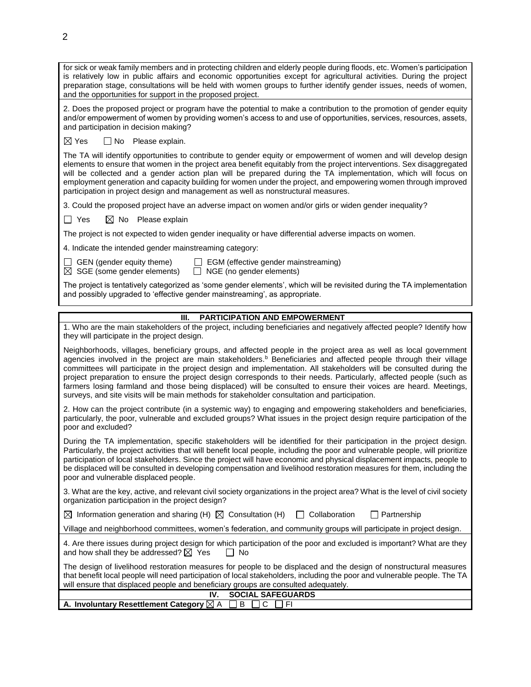| for sick or weak family members and in protecting children and elderly people during floods, etc. Women's participation<br>is relatively low in public affairs and economic opportunities except for agricultural activities. During the project<br>preparation stage, consultations will be held with women groups to further identify gender issues, needs of women,<br>and the opportunities for support in the proposed project.                                                                                                                                                            |
|-------------------------------------------------------------------------------------------------------------------------------------------------------------------------------------------------------------------------------------------------------------------------------------------------------------------------------------------------------------------------------------------------------------------------------------------------------------------------------------------------------------------------------------------------------------------------------------------------|
| 2. Does the proposed project or program have the potential to make a contribution to the promotion of gender equity<br>and/or empowerment of women by providing women's access to and use of opportunities, services, resources, assets,<br>and participation in decision making?                                                                                                                                                                                                                                                                                                               |
| $\boxtimes$ Yes<br>□ No Please explain.                                                                                                                                                                                                                                                                                                                                                                                                                                                                                                                                                         |
| The TA will identify opportunities to contribute to gender equity or empowerment of women and will develop design<br>elements to ensure that women in the project area benefit equitably from the project interventions. Sex disaggregated<br>will be collected and a gender action plan will be prepared during the TA implementation, which will focus on<br>employment generation and capacity building for women under the project, and empowering women through improved<br>participation in project design and management as well as nonstructural measures.                              |
| 3. Could the proposed project have an adverse impact on women and/or girls or widen gender inequality?                                                                                                                                                                                                                                                                                                                                                                                                                                                                                          |
| $\Box$ Yes<br>$\boxtimes$ No Please explain                                                                                                                                                                                                                                                                                                                                                                                                                                                                                                                                                     |
| The project is not expected to widen gender inequality or have differential adverse impacts on women.                                                                                                                                                                                                                                                                                                                                                                                                                                                                                           |
| 4. Indicate the intended gender mainstreaming category:                                                                                                                                                                                                                                                                                                                                                                                                                                                                                                                                         |
| GEN (gender equity theme)<br>EGM (effective gender mainstreaming)<br>$\boxtimes$ SGE (some gender elements)<br>NGE (no gender elements)<br>$\Box$                                                                                                                                                                                                                                                                                                                                                                                                                                               |
| The project is tentatively categorized as 'some gender elements', which will be revisited during the TA implementation<br>and possibly upgraded to 'effective gender mainstreaming', as appropriate.                                                                                                                                                                                                                                                                                                                                                                                            |
| <b>PARTICIPATION AND EMPOWERMENT</b><br>Ш.                                                                                                                                                                                                                                                                                                                                                                                                                                                                                                                                                      |
| 1. Who are the main stakeholders of the project, including beneficiaries and negatively affected people? Identify how<br>they will participate in the project design.                                                                                                                                                                                                                                                                                                                                                                                                                           |
| Neighborhoods, villages, beneficiary groups, and affected people in the project area as well as local government                                                                                                                                                                                                                                                                                                                                                                                                                                                                                |
| agencies involved in the project are main stakeholders. <sup>b</sup> Beneficiaries and affected people through their village<br>committees will participate in the project design and implementation. All stakeholders will be consulted during the<br>project preparation to ensure the project design corresponds to their needs. Particularly, affected people (such as<br>farmers losing farmland and those being displaced) will be consulted to ensure their voices are heard. Meetings,<br>surveys, and site visits will be main methods for stakeholder consultation and participation. |
| 2. How can the project contribute (in a systemic way) to engaging and empowering stakeholders and beneficiaries,<br>particularly, the poor, vulnerable and excluded groups? What issues in the project design require participation of the<br>poor and excluded?                                                                                                                                                                                                                                                                                                                                |
| During the TA implementation, specific stakeholders will be identified for their participation in the project design.<br>Particularly, the project activities that will benefit local people, including the poor and vulnerable people, will prioritize<br>participation of local stakeholders. Since the project will have economic and physical displacement impacts, people to<br>be displaced will be consulted in developing compensation and livelihood restoration measures for them, including the<br>poor and vulnerable displaced people.                                             |
| 3. What are the key, active, and relevant civil society organizations in the project area? What is the level of civil society<br>organization participation in the project design?                                                                                                                                                                                                                                                                                                                                                                                                              |
| Partnership<br>$\boxtimes$ Information generation and sharing (H) $\boxtimes$ Consultation (H)<br>Collaboration                                                                                                                                                                                                                                                                                                                                                                                                                                                                                 |
| Village and neighborhood committees, women's federation, and community groups will participate in project design.                                                                                                                                                                                                                                                                                                                                                                                                                                                                               |
| 4. Are there issues during project design for which participation of the poor and excluded is important? What are they<br>and how shall they be addressed? $\boxtimes$ Yes<br>No                                                                                                                                                                                                                                                                                                                                                                                                                |
| The design of livelihood restoration measures for people to be displaced and the design of nonstructural measures<br>that benefit local people will need participation of local stakeholders, including the poor and vulnerable people. The TA<br>will ensure that displaced people and beneficiary groups are consulted adequately.                                                                                                                                                                                                                                                            |
| <b>SOCIAL SAFEGUARDS</b><br>IV.<br>A. Involuntary Resettlement Category ⊠ A<br>C<br>B<br>F <sub>1</sub>                                                                                                                                                                                                                                                                                                                                                                                                                                                                                         |